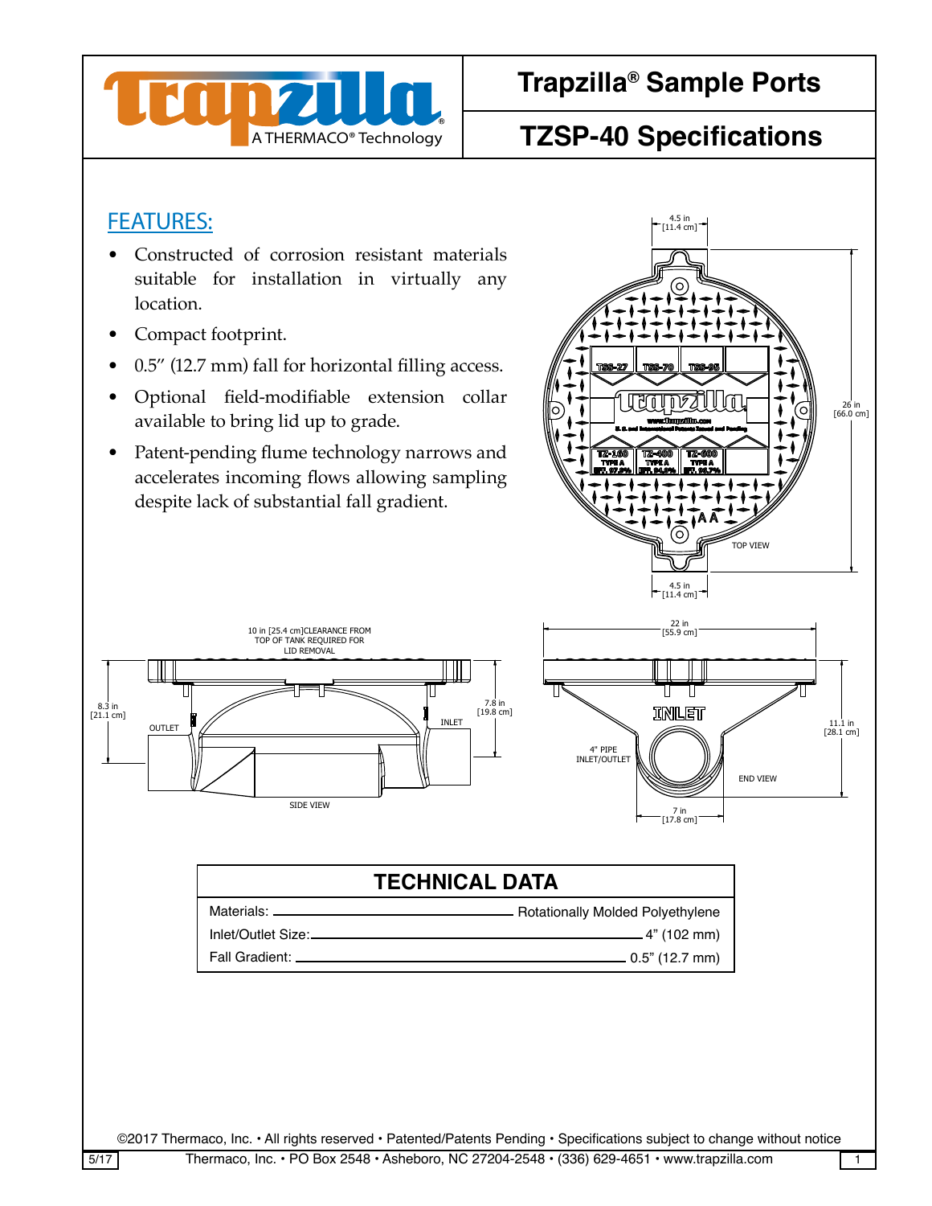

## A THERMACO® Technology **TZSP-40 Specifications**

4.5 in [11.4 cm]

### FEATURES:

- Constructed of corrosion resistant materials suitable for installation in virtually any  $\otimes$ location.
	- Compact footprint.
	- 0.5" (12.7 mm) fall for horizontal filling access.
	- Optional field-modifiable extension collar available to bring lid up to grade.
- Patent-pending flume technology narrows and accelerates incoming flows allowing sampling despite lack of substantial fall gradient.



Materials:



## **TECHNICAL DATA** Rotationally Molded Polyethylene A A

| Inlet/Outlet Size: | _ 4" (102 mm)    |
|--------------------|------------------|
| Fall Gradient: .   | . 0.5" (12.7 mm) |

This drawing contains proprietary and patential. This drawing material  $\mathcal{L}$  and  $\mathcal{L}$  and  $\mathcal{L}$ 

©2017 Thermaco, Inc. • All rights reserved • Patented/Patents Pending • Specifications subject to change without notice

SCALE RELEASE DATE SHEET OF

CHECKED SIZE REV. NO. DWG NO.

ENGINEERING DRAWN DATE